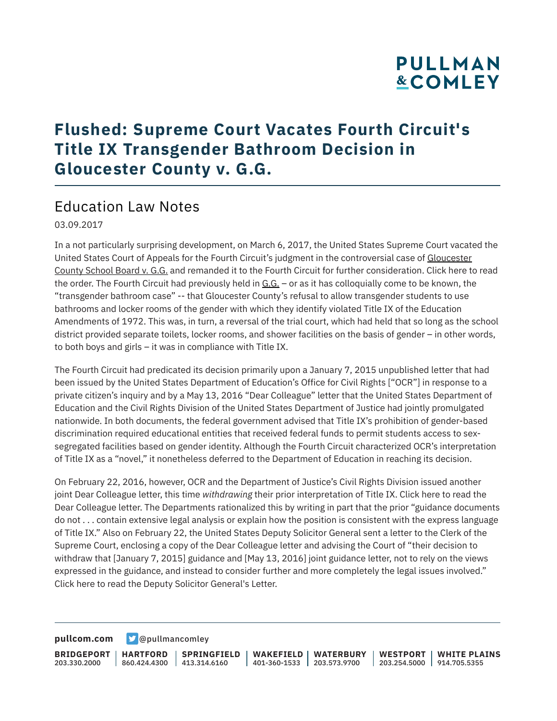# **PULLMAN &COMLEY**

### **Flushed: Supreme Court Vacates Fourth Circuit's Title IX Transgender Bathroom Decision in Gloucester County v. G.G.**

#### Education Law Notes

03.09.2017

In a not particularly surprising development, on March 6, 2017, the United States Supreme Court vacated the United States Court of Appeals for the Fourth Circuit's judgment in the controversial case of Gloucester County School Board v. G.G. and remanded it to the Fourth Circuit for further consideration. Click here to read the order. The Fourth Circuit had previously held in G.G. - or as it has colloquially come to be known, the "transgender bathroom case" -- that Gloucester County's refusal to allow transgender students to use bathrooms and locker rooms of the gender with which they identify violated Title IX of the Education Amendments of 1972. This was, in turn, a reversal of the trial court, which had held that so long as the school district provided separate toilets, locker rooms, and shower facilities on the basis of gender – in other words, to both boys and girls – it was in compliance with Title IX.

The Fourth Circuit had predicated its decision primarily upon a January 7, 2015 unpublished letter that had been issued by the United States Department of Education's Office for Civil Rights ["OCR"] in response to a private citizen's inquiry and by a May 13, 2016 "Dear Colleague" letter that the United States Department of Education and the Civil Rights Division of the United States Department of Justice had jointly promulgated nationwide. In both documents, the federal government advised that Title IX's prohibition of gender-based discrimination required educational entities that received federal funds to permit students access to sexsegregated facilities based on gender identity. Although the Fourth Circuit characterized OCR's interpretation of Title IX as a "novel," it nonetheless deferred to the Department of Education in reaching its decision.

On February 22, 2016, however, OCR and the Department of Justice's Civil Rights Division issued another joint Dear Colleague letter, this time *withdrawing* their prior interpretation of Title IX. Click here to read the Dear Colleague letter. The Departments rationalized this by writing in part that the prior "guidance documents do not . . . contain extensive legal analysis or explain how the position is consistent with the express language of Title IX." Also on February 22, the United States Deputy Solicitor General sent a letter to the Clerk of the Supreme Court, enclosing a copy of the Dear Colleague letter and advising the Court of "their decision to withdraw that [January 7, 2015] guidance and [May 13, 2016] joint guidance letter, not to rely on the views expressed in the guidance, and instead to consider further and more completely the legal issues involved." Click here to read the Deputy Solicitor General's Letter.

**[pullcom.com](https://www.pullcom.com) g** [@pullmancomley](https://twitter.com/PullmanComley)

**BRIDGEPORT** 203.330.2000 **HARTFORD** 860.424.4300 413.314.6160 **SPRINGFIELD WAKEFIELD WATERBURY** 401-360-1533 203.573.9700 **WESTPORT WHITE PLAINS** 203.254.5000 914.705.5355